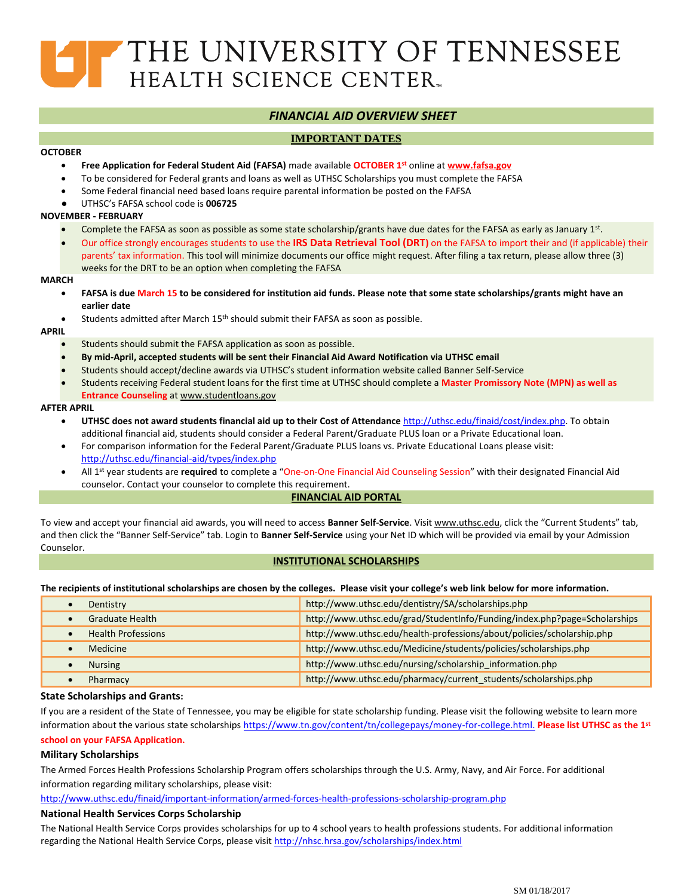# THE UNIVERSITY OF TENNESSEE HEALTH SCIENCE CENTER.

# *FINANCIAL AID OVERVIEW SHEET*

## **IMPORTANT DATES**

## **OCTOBER**

- **Free Application for Federal Student Aid (FAFSA)** made available **OCTOBER 1 st** online at **[www.fafsa.gov](http://www.fafsa.gov/)**
- To be considered for Federal grants and loans as well as UTHSC Scholarships you must complete the FAFSA
- Some Federal financial need based loans require parental information be posted on the FAFSA
- ●UTHSC's FAFSA school code is **006725**

## **NOVEMBER - FEBRUARY**

- Complete the FAFSA as soon as possible as some state scholarship/grants have due dates for the FAFSA as early as January 1st.
- Our office strongly encourages students to use the **IRS Data Retrieval Tool (DRT)** on the FAFSA to import their and (if applicable) their parents' tax information. This tool will minimize documents our office might request. After filing a tax return, please allow three (3)
	- weeks for the DRT to be an option when completing the FAFSA

#### **MARCH**

- **FAFSA is due March 15 to be considered for institution aid funds. Please note that some state scholarships/grants might have an earlier date**
- Students admitted after March 15th should submit their FAFSA as soon as possible.

#### **APRIL**

- Students should submit the FAFSA application as soon as possible.
- **By mid-April, accepted students will be sent their Financial Aid Award Notification via UTHSC email**
- Students should accept/decline awards via UTHSC's student information website called Banner Self-Service
- Students receiving Federal student loans for the first time at UTHSC should complete a **Master Promissory Note (MPN) as well as**
- **Entrance Counseling** a[t www.studentloans.gov](http://www.studentloans.gov/)

## **AFTER APRIL**

- **UTHSC does not award students financial aid up to their Cost of Attendance** [http://uthsc.edu/finaid/cost/index.php.](http://uthsc.edu/finaid/cost/index.php) To obtain additional financial aid, students should consider a Federal Parent/Graduate PLUS loan or a Private Educational loan.
- For comparison information for the Federal Parent/Graduate PLUS loans vs. Private Educational Loans please visit: <http://uthsc.edu/financial-aid/types/index.php>
- All 1<sup>st</sup> year students are required to complete a "One-on-One Financial Aid Counseling Session" with their designated Financial Aid counselor. Contact your counselor to complete this requirement.

## **FINANCIAL AID PORTAL**

To view and accept your financial aid awards, you will need to access **Banner Self-Service**. Visit [www.uthsc.edu](http://www.uthsc.edu/), click the "Current Students" tab, and then click the "Banner Self-Service" tab. Login to **Banner Self-Service** using your Net ID which will be provided via email by your Admission Counselor.

## **INSTITUTIONAL SCHOLARSHIPS**

#### **The recipients of institutional scholarships are chosen by the colleges. Please visit your college's web link below for more information.**

| Dentistry                 | http://www.uthsc.edu/dentistry/SA/scholarships.php                        |
|---------------------------|---------------------------------------------------------------------------|
| <b>Graduate Health</b>    | http://www.uthsc.edu/grad/StudentInfo/Funding/index.php?page=Scholarships |
| <b>Health Professions</b> | http://www.uthsc.edu/health-professions/about/policies/scholarship.php    |
| <b>Medicine</b>           | http://www.uthsc.edu/Medicine/students/policies/scholarships.php          |
| <b>Nursing</b>            | http://www.uthsc.edu/nursing/scholarship information.php                  |
| Pharmacy                  | http://www.uthsc.edu/pharmacy/current_students/scholarships.php           |

## **State Scholarships and Grants:**

If you are a resident of the State of Tennessee, you may be eligible for state scholarship funding. Please visit the following website to learn more information about the various state scholarships https://www.tn.gov/content/tn/collegepays/money-for-college.html. **Please list UTHSC as the 1st school on your FAFSA Application.**

## **Military Scholarships**

The Armed Forces Health Professions Scholarship Program offers scholarships through the U.S. Army, Navy, and Air Force. For additional information regarding military scholarships, please visit:

[http://www.uthsc.edu/finaid/important-information/armed-forces-health-professions-scholarship-program.php](http://www.uthsc.edu/financial-aid/types/armed-forces-health-professions-scholarship-program.php) 

## **National Health Services Corps Scholarship**

The National Health Service Corps provides scholarships for up to 4 school years to health professions students. For additional information regarding the National Health Service Corps, please visi[t http://nhsc.hrsa.gov/scholarships/index.html](http://nhsc.hrsa.gov/scholarships/index.html)